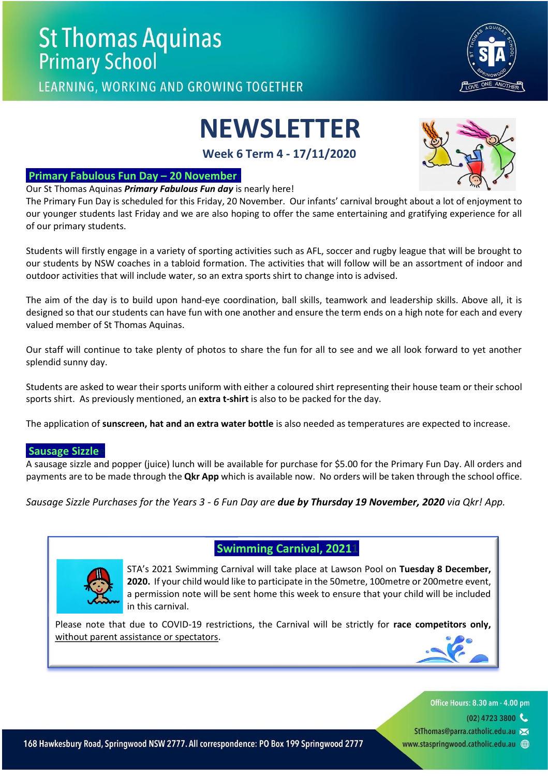LEARNING, WORKING AND GROWING TOGETHER

# **NEWSLETTER**

**Week 6 Term 4 - 17/11/2020**

## **Primary Fabulous Fun Day – 20 Novemberr**

Our St Thomas Aquinas *Primary Fabulous Fun day* is nearly here!

The Primary Fun Day is scheduled for this Friday, 20 November. Our infants' carnival brought about a lot of enjoyment to our younger students last Friday and we are also hoping to offer the same entertaining and gratifying experience for all of our primary students.

Students will firstly engage in a variety of sporting activities such as AFL, soccer and rugby league that will be brought to our students by NSW coaches in a tabloid formation. The activities that will follow will be an assortment of indoor and outdoor activities that will include water, so an extra sports shirt to change into is advised.

The aim of the day is to build upon hand-eye coordination, ball skills, teamwork and leadership skills. Above all, it is designed so that our students can have fun with one another and ensure the term ends on a high note for each and every valued member of St Thomas Aquinas.

Our staff will continue to take plenty of photos to share the fun for all to see and we all look forward to yet another splendid sunny day.

Students are asked to wear their sports uniform with either a coloured shirt representing their house team or their school sports shirt. As previously mentioned, an **extra t-shirt** is also to be packed for the day.

The application of **sunscreen, hat and an extra water bottle** is also needed as temperatures are expected to increase.

## **Sausage Sizzle**

A sausage sizzle and popper (juice) lunch will be available for purchase for \$5.00 for the Primary Fun Day. All orders and payments are to be made through the **Qkr App** which is available now. No orders will be taken through the school office.

*Sausage Sizzle Purchases for the Years 3 - 6 Fun Day are due by Thursday 19 November, 2020 via Qkr! App.*

# **Swimming Carnival, 20211**

STA's 2021 Swimming Carnival will take place at Lawson Pool on **Tuesday 8 December, 2020.** If your child would like to participate in the 50metre, 100metre or 200metre event, a permission note will be sent home this week to ensure that your child will be included in this carnival.

Please note that due to COVID-19 restrictions, the Carnival will be strictly for **race competitors only,** without parent assistance or spectators.

Office Hours: 8.30 am - 4.00 pm

- $(02)$  4723 3800
- StThomas@parra.catholic.edu.au >
- www.staspringwood.catholic.edu.au (+)



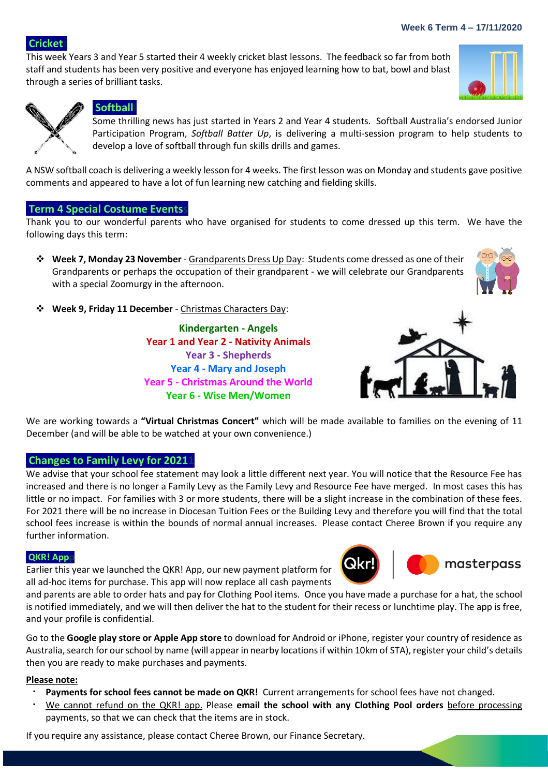#### **Week 6 Term 4 – 17/11/2020**

**Cricket** 

This week Years 3 and Year 5 started their 4 weekly cricket blast lessons. The feedback so far from both staff and students has been very positive and everyone has enjoyed learning how to bat, bowl and blast through a series of brilliant tasks.



**POTO** 



## **Softball**

Some thrilling news has just started in Years 2 and Year 4 students. Softball Australia's endorsed Junior Participation Program, *Softball Batter Up*, is delivering a multi-session program to help students to develop a love of softball through fun skills drills and games.

A NSW softball coach is delivering a weekly lesson for 4 weeks. The first lesson was on Monday and students gave positive comments and appeared to have a lot of fun learning new catching and fielding skills.

## **Term 4 Special Costume Eventss**

Thank you to our wonderful parents who have organised for students to come dressed up this term. We have the following days this term:

- ❖ **Week 7, Monday 23 November** Grandparents Dress Up Day: Students come dressed as one of their Grandparents or perhaps the occupation of their grandparent - we will celebrate our Grandparents with a special Zoomurgy in the afternoon.
- ❖ **Week 9, Friday 11 December** Christmas Characters Day:

**Kindergarten - Angels Year 1 and Year 2 - Nativity Animals Year 3 - Shepherds Year 4 - Mary and Joseph Year 5 - Christmas Around the World Year 6 - Wise Men/Women**



We are working towards a **"Virtual Christmas Concert"** which will be made available to families on the evening of 11 December (and will be able to be watched at your own convenience.)

## **Changes to Family Levy for 2021**

We advise that your school fee statement may look a little different next year. You will notice that the Resource Fee has increased and there is no longer a Family Levy as the Family Levy and Resource Fee have merged. In most cases this has little or no impact. For families with 3 or more students, there will be a slight increase in the combination of these fees. For 2021 there will be no increase in Diocesan Tuition Fees or the Building Levy and therefore you will find that the total school fees increase is within the bounds of normal annual increases. Please contact Cheree Brown if you require any further information.

#### **QKR! Appp**

Earlier this year we launched the QKR! App, our new payment platform for all ad-hoc items for purchase. This app will now replace all cash payments





and parents are able to order hats and pay for Clothing Pool items. Once you have made a purchase for a hat, the school is notified immediately, and we will then deliver the hat to the student for their recess or lunchtime play. The app is free, and your profile is confidential.

Go to the **Google play store or Apple App store** to download for Android or iPhone, register your country of residence as Australia, search for our school by name (will appear in nearby locations if within 10km of STA), register your child's details then you are ready to make purchases and payments.

#### **Please note:**

- **Payments for school fees cannot be made on QKR!** Current arrangements for school fees have not changed.
- We cannot refund on the QKR! app. Please **email the school with any Clothing Pool orders** before processing payments, so that we can check that the items are in stock.

If you require any assistance, please contact Cheree Brown, our Finance Secretary.